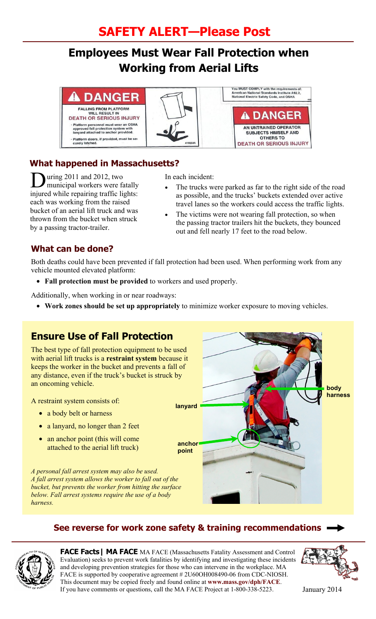# **SAFETY ALERT—Please Post**

# **Employees Must Wear Fall Protection when Working from Aerial Lifts**

#### **DANGER**

FALLING FROM PLATFORM<br>WILL RESULT IN<br>DEATH OR SERIOUS INJURY Platform personnel must wear an OSHA<br>approved fall protection system with<br>lanyard attached to anchor provided. Platform doors, if provided, must be se-<br>curely latched.





#### **What happened in Massachusetts?**

During 2011 and 2012, two<br>municipal workers were fatally injured while repairing traffic lights: each was working from the raised bucket of an aerial lift truck and was thrown from the bucket when struck by a passing tractor-trailer.

In each incident:

- The trucks were parked as far to the right side of the road as possible, and the trucks' buckets extended over active travel lanes so the workers could access the traffic lights.
- The victims were not wearing fall protection, so when the passing tractor trailers hit the buckets, they bounced out and fell nearly 17 feet to the road below.

#### **What can be done?**

Both deaths could have been prevented if fall protection had been used. When performing work from any vehicle mounted elevated platform:

• **Fall protection must be provided** to workers and used properly.

Additionally, when working in or near roadways:

• **Work zones should be set up appropriately** to minimize worker exposure to moving vehicles.

## **Ensure Use of Fall Protection**

The best type of fall protection equipment to be used with aerial lift trucks is a **restraint system** because it keeps the worker in the bucket and prevents a fall of any distance, even if the truck's bucket is struck by an oncoming vehicle.

A restraint system consists of:

- a body belt or harness
- a lanyard, no longer than 2 feet
- an anchor point (this will come attached to the aerial lift truck)

*A personal fall arrest system may also be used. A fall arrest system allows the worker to fall out of the bucket, but prevents the worker from hitting the surface below. Fall arrest systems require the use of a body harness.* 

# **body harness lanyard anchor point**

#### **See reverse for work zone safety & training recommendations**



**FACE Facts| MA FACE** MA FACE (Massachusetts Fatality Assessment and Control Evaluation) seeks to prevent work fatalities by identifying and investigating these incidents and developing prevention strategies for those who can intervene in the workplace. MA FACE is supported by cooperative agreement # 2U60OH008490-06 from CDC-NIOSH. This document may be copied freely and found online at **www.mass.gov/dph/FACE**. If you have comments or questions, call the MA FACE Project at 1-800-338-5223. January 2014